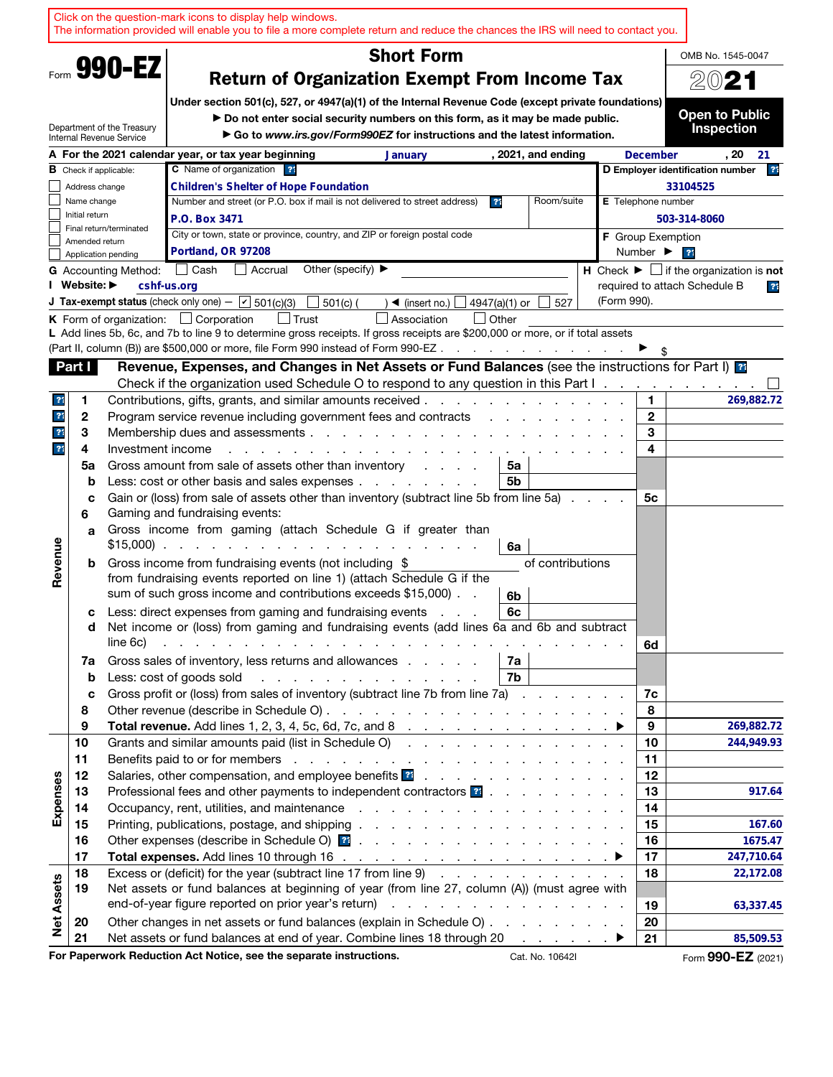|                              |                                                        | Click on the question-mark icons to display help windows.<br>The information provided will enable you to file a more complete return and reduce the chances the IRS will need to contact you.                                       |                                                                                                                                                                                                                                |                                                                                                                 |                              |                                                                 |
|------------------------------|--------------------------------------------------------|-------------------------------------------------------------------------------------------------------------------------------------------------------------------------------------------------------------------------------------|--------------------------------------------------------------------------------------------------------------------------------------------------------------------------------------------------------------------------------|-----------------------------------------------------------------------------------------------------------------|------------------------------|-----------------------------------------------------------------|
|                              | Form 990-EZ                                            |                                                                                                                                                                                                                                     | <b>Short Form</b>                                                                                                                                                                                                              |                                                                                                                 |                              | OMB No. 1545-0047                                               |
|                              | <b>Return of Organization Exempt From Income Tax</b>   | 2021                                                                                                                                                                                                                                |                                                                                                                                                                                                                                |                                                                                                                 |                              |                                                                 |
|                              | Department of the Treasury<br>Internal Revenue Service | Under section 501(c), 527, or 4947(a)(1) of the Internal Revenue Code (except private foundations)<br>Do not enter social security numbers on this form, as it may be made public.                                                  | Go to www.irs.gov/Form990EZ for instructions and the latest information.                                                                                                                                                       |                                                                                                                 |                              | <b>Open to Public</b><br><b>Inspection</b>                      |
|                              |                                                        | A For the 2021 calendar year, or tax year beginning                                                                                                                                                                                 | <b>January</b>                                                                                                                                                                                                                 | , 2021, and ending                                                                                              | <b>December</b>              | . 20<br>21                                                      |
|                              | <b>B</b> Check if applicable:                          | C Name of organization ??                                                                                                                                                                                                           |                                                                                                                                                                                                                                |                                                                                                                 |                              | 21<br>D Employer identification number                          |
|                              | Address change                                         | <b>Children's Shelter of Hope Foundation</b>                                                                                                                                                                                        |                                                                                                                                                                                                                                |                                                                                                                 |                              | 33104525                                                        |
| Name change                  |                                                        | Number and street (or P.O. box if mail is not delivered to street address)                                                                                                                                                          |                                                                                                                                                                                                                                | Room/suite<br>3 <sup>4</sup>                                                                                    | <b>E</b> Telephone number    |                                                                 |
| Initial return               | Final return/terminated                                | P.O. Box 3471                                                                                                                                                                                                                       |                                                                                                                                                                                                                                |                                                                                                                 |                              | 503-314-8060                                                    |
| Amended return               |                                                        | City or town, state or province, country, and ZIP or foreign postal code                                                                                                                                                            |                                                                                                                                                                                                                                |                                                                                                                 | <b>F</b> Group Exemption     |                                                                 |
|                              | Application pending                                    | Portland, OR 97208                                                                                                                                                                                                                  |                                                                                                                                                                                                                                |                                                                                                                 | Number $\blacktriangleright$ | 21                                                              |
|                              | <b>G</b> Accounting Method:                            | │ Cash<br>  Accrual                                                                                                                                                                                                                 | Other (specify) ▶                                                                                                                                                                                                              |                                                                                                                 |                              | H Check $\blacktriangleright$ $\Box$ if the organization is not |
| I Website: ▶                 |                                                        | cshf-us.org                                                                                                                                                                                                                         |                                                                                                                                                                                                                                |                                                                                                                 |                              | required to attach Schedule B<br>$\overline{3}$                 |
|                              |                                                        | <b>J Tax-exempt status</b> (check only one) - $\boxed{\mathbf{v}}$ 501(c)(3)<br>$501(c)$ (<br>$\mathbf{I}$                                                                                                                          | $\rightarrow$ (insert no.)                                                                                                                                                                                                     | 4947(a)(1) or<br>527                                                                                            | (Form 990).                  |                                                                 |
|                              |                                                        | K Form of organization: $\Box$ Corporation<br>l Trust                                                                                                                                                                               | Association                                                                                                                                                                                                                    | Other                                                                                                           |                              |                                                                 |
|                              |                                                        | L Add lines 5b, 6c, and 7b to line 9 to determine gross receipts. If gross receipts are \$200,000 or more, or if total assets                                                                                                       |                                                                                                                                                                                                                                |                                                                                                                 |                              |                                                                 |
|                              |                                                        | (Part II, column (B)) are \$500,000 or more, file Form 990 instead of Form 990-EZ                                                                                                                                                   |                                                                                                                                                                                                                                |                                                                                                                 |                              |                                                                 |
| Part I                       |                                                        | Revenue, Expenses, and Changes in Net Assets or Fund Balances (see the instructions for Part I) <b>as</b>                                                                                                                           |                                                                                                                                                                                                                                |                                                                                                                 |                              |                                                                 |
|                              |                                                        | Check if the organization used Schedule O to respond to any question in this Part I.                                                                                                                                                |                                                                                                                                                                                                                                |                                                                                                                 |                              |                                                                 |
| $\overline{?}$<br>1          |                                                        | Contributions, gifts, grants, and similar amounts received.                                                                                                                                                                         | and a state                                                                                                                                                                                                                    |                                                                                                                 | 1.                           | 269,882.72                                                      |
| $\overline{\mathbf{r}}$<br>2 |                                                        | Program service revenue including government fees and contracts                                                                                                                                                                     |                                                                                                                                                                                                                                | the contract of the contract of the contract of the contract of the contract of the contract of the contract of | $\mathbf{2}$                 |                                                                 |
| $\overline{\mathbf{r}}$<br>3 |                                                        |                                                                                                                                                                                                                                     |                                                                                                                                                                                                                                |                                                                                                                 | 3                            |                                                                 |
| 2 <sup>1</sup><br>4          | Investment income                                      |                                                                                                                                                                                                                                     | the contract of the contract of the contract of the contract of the contract of the contract of the contract of                                                                                                                |                                                                                                                 | 4                            |                                                                 |
| 5a                           |                                                        | Gross amount from sale of assets other than inventory                                                                                                                                                                               | and a state of                                                                                                                                                                                                                 | 5a                                                                                                              |                              |                                                                 |
| b                            |                                                        | Less: cost or other basis and sales expenses                                                                                                                                                                                        |                                                                                                                                                                                                                                | 5b                                                                                                              |                              |                                                                 |
| C                            |                                                        | Gain or (loss) from sale of assets other than inventory (subtract line 5b from line 5a)                                                                                                                                             |                                                                                                                                                                                                                                |                                                                                                                 | 5с                           |                                                                 |
| 6                            |                                                        | Gaming and fundraising events:                                                                                                                                                                                                      |                                                                                                                                                                                                                                |                                                                                                                 |                              |                                                                 |
| a                            |                                                        | Gross income from gaming (attach Schedule G if greater than                                                                                                                                                                         |                                                                                                                                                                                                                                |                                                                                                                 |                              |                                                                 |
|                              |                                                        |                                                                                                                                                                                                                                     |                                                                                                                                                                                                                                | 6a                                                                                                              |                              |                                                                 |
| Revenue<br>b                 |                                                        | Gross income from fundraising events (not including \$                                                                                                                                                                              |                                                                                                                                                                                                                                | of contributions                                                                                                |                              |                                                                 |
|                              |                                                        | from fundraising events reported on line 1) (attach Schedule G if the                                                                                                                                                               |                                                                                                                                                                                                                                |                                                                                                                 |                              |                                                                 |
|                              |                                                        | sum of such gross income and contributions exceeds \$15,000).                                                                                                                                                                       |                                                                                                                                                                                                                                | 6b                                                                                                              |                              |                                                                 |
| с                            |                                                        | Less: direct expenses from gaming and fundraising events                                                                                                                                                                            |                                                                                                                                                                                                                                | 6с                                                                                                              |                              |                                                                 |
| d                            |                                                        | Net income or (loss) from gaming and fundraising events (add lines 6a and 6b and subtract                                                                                                                                           |                                                                                                                                                                                                                                |                                                                                                                 |                              |                                                                 |
|                              | line 6c)                                               | the second contract of the contract of the contract of the contract of                                                                                                                                                              |                                                                                                                                                                                                                                |                                                                                                                 | 6d                           |                                                                 |
| 7a                           |                                                        | Gross sales of inventory, less returns and allowances                                                                                                                                                                               |                                                                                                                                                                                                                                | 7а                                                                                                              |                              |                                                                 |
| b                            |                                                        | Less: cost of goods sold                                                                                                                                                                                                            | and the contract of the contract of the contract of the contract of the contract of the contract of the contract of the contract of the contract of the contract of the contract of the contract of the contract of the contra | 7b                                                                                                              |                              |                                                                 |
| c                            |                                                        | Gross profit or (loss) from sales of inventory (subtract line 7b from line 7a)                                                                                                                                                      |                                                                                                                                                                                                                                |                                                                                                                 | 7c                           |                                                                 |
| 8                            |                                                        |                                                                                                                                                                                                                                     |                                                                                                                                                                                                                                |                                                                                                                 | 8                            |                                                                 |
| 9                            |                                                        |                                                                                                                                                                                                                                     |                                                                                                                                                                                                                                |                                                                                                                 | 9                            | 269,882.72                                                      |
| 10                           |                                                        | Grants and similar amounts paid (list in Schedule O)                                                                                                                                                                                |                                                                                                                                                                                                                                |                                                                                                                 | 10                           | 244,949.93                                                      |
| 11                           |                                                        |                                                                                                                                                                                                                                     |                                                                                                                                                                                                                                |                                                                                                                 | 11                           |                                                                 |
| 12                           |                                                        | Salaries, other compensation, and employee benefits <b>21</b> and a series of the series of the series of the series of the series of the series of the series of the series of the series of the series of the series of the serie |                                                                                                                                                                                                                                |                                                                                                                 | 12                           |                                                                 |
| Expenses<br>13               |                                                        | Professional fees and other payments to independent contractors <b>3</b>                                                                                                                                                            |                                                                                                                                                                                                                                |                                                                                                                 | 13                           | 917.64                                                          |
| 14                           |                                                        |                                                                                                                                                                                                                                     |                                                                                                                                                                                                                                |                                                                                                                 | 14                           |                                                                 |
| 15                           |                                                        |                                                                                                                                                                                                                                     |                                                                                                                                                                                                                                |                                                                                                                 | 15                           | 167.60                                                          |
| 16                           |                                                        |                                                                                                                                                                                                                                     |                                                                                                                                                                                                                                |                                                                                                                 | 16                           | 1675.47                                                         |
| 17                           |                                                        |                                                                                                                                                                                                                                     |                                                                                                                                                                                                                                |                                                                                                                 | 17                           | 247,710.64                                                      |
| 18                           |                                                        | Excess or (deficit) for the year (subtract line 17 from line 9)                                                                                                                                                                     |                                                                                                                                                                                                                                |                                                                                                                 | 18                           | 22,172.08                                                       |
| 19                           |                                                        | Net assets or fund balances at beginning of year (from line 27, column (A)) (must agree with                                                                                                                                        |                                                                                                                                                                                                                                |                                                                                                                 |                              |                                                                 |
| <b>Net Assets</b>            |                                                        |                                                                                                                                                                                                                                     |                                                                                                                                                                                                                                |                                                                                                                 | 19                           | 63,337.45                                                       |
| 20                           |                                                        | Other changes in net assets or fund balances (explain in Schedule O)                                                                                                                                                                |                                                                                                                                                                                                                                |                                                                                                                 | 20                           |                                                                 |
| 21                           |                                                        | Net assets or fund balances at end of year. Combine lines 18 through 20                                                                                                                                                             |                                                                                                                                                                                                                                |                                                                                                                 | 21                           | 85,509.53                                                       |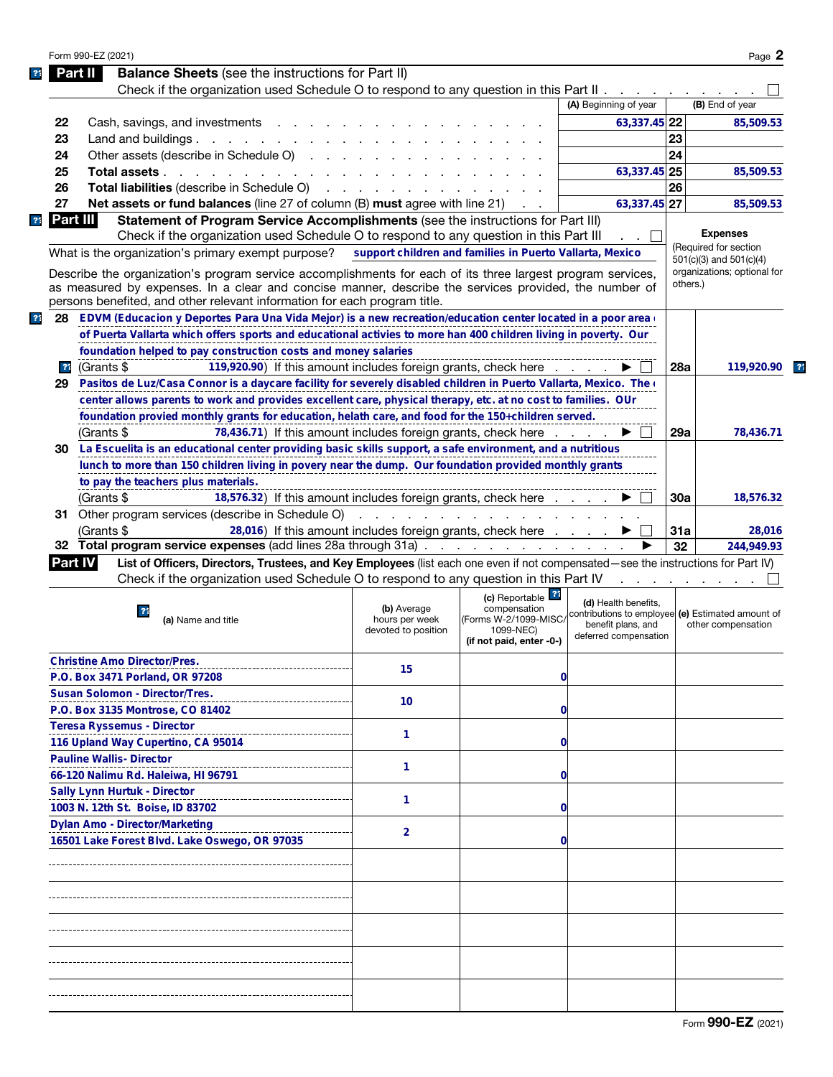|                |          | Form 990-EZ (2021)                |                                                                                                                                   |                                          |                                                          |                                                                         |     | Page 2                                               |  |
|----------------|----------|-----------------------------------|-----------------------------------------------------------------------------------------------------------------------------------|------------------------------------------|----------------------------------------------------------|-------------------------------------------------------------------------|-----|------------------------------------------------------|--|
|                |          | Part II                           | <b>Balance Sheets</b> (see the instructions for Part II)                                                                          |                                          |                                                          |                                                                         |     |                                                      |  |
|                |          |                                   | Check if the organization used Schedule O to respond to any question in this Part II $\ldots$                                     |                                          |                                                          |                                                                         |     |                                                      |  |
|                |          |                                   |                                                                                                                                   |                                          |                                                          | (A) Beginning of year                                                   |     | (B) End of year                                      |  |
|                | 22       |                                   |                                                                                                                                   |                                          |                                                          | 63,337.45 22                                                            |     | 85,509.53                                            |  |
|                |          |                                   | Cash, savings, and investments                                                                                                    |                                          |                                                          |                                                                         | 23  |                                                      |  |
|                | 23       |                                   | Land and buildings. $\ldots$                                                                                                      |                                          |                                                          |                                                                         |     |                                                      |  |
|                | 24       |                                   | Other assets (describe in Schedule O)                                                                                             |                                          |                                                          |                                                                         | 24  |                                                      |  |
|                | 25       |                                   | Total assets                                                                                                                      |                                          |                                                          | 63,337.45 25                                                            |     | 85,509.53                                            |  |
|                | 26       |                                   | <b>Total liabilities</b> (describe in Schedule O)                                                                                 | and a state of the state of the state of |                                                          |                                                                         | 26  |                                                      |  |
|                | 27       |                                   | <b>Net assets or fund balances</b> (line 27 of column (B) must agree with line 21)                                                |                                          |                                                          | 63,337.45 27                                                            |     | 85,509.53                                            |  |
| 3 <sup>4</sup> | Part III |                                   | Statement of Program Service Accomplishments (see the instructions for Part III)                                                  |                                          |                                                          |                                                                         |     |                                                      |  |
|                |          |                                   | Check if the organization used Schedule O to respond to any question in this Part III                                             |                                          |                                                          |                                                                         |     | <b>Expenses</b>                                      |  |
|                |          |                                   | What is the organization's primary exempt purpose?                                                                                |                                          | support children and families in Puerto Vallarta, Mexico |                                                                         |     | (Required for section<br>$501(c)(3)$ and $501(c)(4)$ |  |
|                |          |                                   | Describe the organization's program service accomplishments for each of its three largest program services,                       |                                          |                                                          |                                                                         |     | organizations; optional for                          |  |
|                |          |                                   | as measured by expenses. In a clear and concise manner, describe the services provided, the number of                             |                                          |                                                          |                                                                         |     | others.)                                             |  |
|                |          |                                   | persons benefited, and other relevant information for each program title.                                                         |                                          |                                                          |                                                                         |     |                                                      |  |
| $\overline{3}$ | 28       |                                   | EDVM (Educacion y Deportes Para Una Vida Mejor) is a new recreation/education center located in a poor area (                     |                                          |                                                          |                                                                         |     |                                                      |  |
|                |          |                                   | of Puerta Vallarta which offers sports and educational activies to more han 400 children living in poverty. Our                   |                                          |                                                          |                                                                         |     |                                                      |  |
|                |          |                                   | foundation helped to pay construction costs and money salaries                                                                    |                                          |                                                          |                                                                         |     |                                                      |  |
|                |          |                                   |                                                                                                                                   |                                          |                                                          |                                                                         | 28a |                                                      |  |
|                | 21       | (Grants \$                        | 119,920.90) If this amount includes foreign grants, check here                                                                    |                                          |                                                          |                                                                         |     | 119,920.90                                           |  |
|                | 29       |                                   | Pasitos de Luz/Casa Connor is a daycare facility for severely disabled children in Puerto Vallarta, Mexico. The o                 |                                          |                                                          |                                                                         |     |                                                      |  |
|                |          |                                   | center allows parents to work and provides excellent care, physical therapy, etc. at no cost to families. OUr                     |                                          |                                                          |                                                                         |     |                                                      |  |
|                |          |                                   | foundation provied monthly grants for education, helath care, and food for the 150+children served.                               |                                          |                                                          |                                                                         |     |                                                      |  |
|                |          | (Grants \$                        | 78,436.71) If this amount includes foreign grants, check here                                                                     |                                          |                                                          |                                                                         | 29a | 78,436.71                                            |  |
|                | 30       |                                   | La Escuelita is an educational center providing basic skills support, a safe environment, and a nutritious                        |                                          |                                                          |                                                                         |     |                                                      |  |
|                |          |                                   | lunch to more than 150 children living in povery near the dump. Our foundation provided monthly grants                            |                                          |                                                          |                                                                         |     |                                                      |  |
|                |          |                                   | to pay the teachers plus materials.                                                                                               |                                          |                                                          |                                                                         |     |                                                      |  |
|                |          | (Grants \$                        | 18,576.32) If this amount includes foreign grants, check here                                                                     |                                          |                                                          |                                                                         | 30a | 18,576.32                                            |  |
|                | 31.      |                                   | Other program services (describe in Schedule O)                                                                                   |                                          |                                                          |                                                                         |     |                                                      |  |
|                |          | (Grants \$                        | 28,016) If this amount includes foreign grants, check here                                                                        |                                          |                                                          |                                                                         | 31a | 28,016                                               |  |
|                |          |                                   | 32 Total program service expenses (add lines 28a through 31a)                                                                     |                                          |                                                          |                                                                         | 32  | 244,949.93                                           |  |
|                | Part IV  |                                   | List of Officers, Directors, Trustees, and Key Employees (list each one even if not compensated—see the instructions for Part IV) |                                          |                                                          |                                                                         |     |                                                      |  |
|                |          |                                   | Check if the organization used Schedule O to respond to any question in this Part IV                                              |                                          |                                                          |                                                                         |     | and a strain and a strain and                        |  |
|                |          |                                   |                                                                                                                                   |                                          | (c) Reportable ?                                         |                                                                         |     |                                                      |  |
|                |          |                                   | 21                                                                                                                                | (b) Average                              | compensation                                             | (d) Health benefits,                                                    |     |                                                      |  |
|                |          |                                   | (a) Name and title                                                                                                                | hours per week                           | (Forms W-2/1099-MISC/                                    | contributions to employee (e) Estimated amount of<br>benefit plans, and |     | other compensation                                   |  |
|                |          |                                   |                                                                                                                                   | devoted to position                      | 1099-NEC)<br>(if not paid, enter -0-)                    | deferred compensation                                                   |     |                                                      |  |
|                |          |                                   |                                                                                                                                   |                                          |                                                          |                                                                         |     |                                                      |  |
|                |          |                                   | <b>Christine Amo Director/Pres.</b>                                                                                               | 15                                       |                                                          |                                                                         |     |                                                      |  |
|                |          |                                   | P.O. Box 3471 Porland, OR 97208                                                                                                   |                                          | 0                                                        |                                                                         |     |                                                      |  |
|                |          |                                   | <b>Susan Solomon - Director/Tres.</b>                                                                                             | 10                                       |                                                          |                                                                         |     |                                                      |  |
|                |          |                                   | P.O. Box 3135 Montrose, CO 81402                                                                                                  |                                          | 0                                                        |                                                                         |     |                                                      |  |
|                |          | <b>Teresa Ryssemus - Director</b> |                                                                                                                                   |                                          |                                                          |                                                                         |     |                                                      |  |
|                |          |                                   | 116 Upland Way Cupertino, CA 95014                                                                                                | 1                                        | 0                                                        |                                                                         |     |                                                      |  |
|                |          | <b>Pauline Wallis- Director</b>   |                                                                                                                                   |                                          |                                                          |                                                                         |     |                                                      |  |
|                |          |                                   | 66-120 Nalimu Rd. Haleiwa, HI 96791                                                                                               | 1                                        | 0                                                        |                                                                         |     |                                                      |  |
|                |          | Sally Lynn Hurtuk - Director      |                                                                                                                                   |                                          |                                                          |                                                                         |     |                                                      |  |
|                |          |                                   | 1003 N. 12th St. Boise, ID 83702                                                                                                  | 1                                        | 0                                                        |                                                                         |     |                                                      |  |
|                |          |                                   | <b>Dylan Amo - Director/Marketing</b>                                                                                             |                                          |                                                          |                                                                         |     |                                                      |  |
|                |          |                                   |                                                                                                                                   | $\overline{2}$                           |                                                          |                                                                         |     |                                                      |  |
|                |          |                                   | 16501 Lake Forest Blvd. Lake Oswego, OR 97035                                                                                     |                                          | 0                                                        |                                                                         |     |                                                      |  |
|                |          |                                   |                                                                                                                                   |                                          |                                                          |                                                                         |     |                                                      |  |
|                |          |                                   |                                                                                                                                   |                                          |                                                          |                                                                         |     |                                                      |  |
|                |          |                                   |                                                                                                                                   |                                          |                                                          |                                                                         |     |                                                      |  |
|                |          |                                   |                                                                                                                                   |                                          |                                                          |                                                                         |     |                                                      |  |
|                |          |                                   |                                                                                                                                   |                                          |                                                          |                                                                         |     |                                                      |  |
|                |          |                                   |                                                                                                                                   |                                          |                                                          |                                                                         |     |                                                      |  |
|                |          |                                   |                                                                                                                                   |                                          |                                                          |                                                                         |     |                                                      |  |
|                |          |                                   |                                                                                                                                   |                                          |                                                          |                                                                         |     |                                                      |  |
|                |          |                                   |                                                                                                                                   |                                          |                                                          |                                                                         |     |                                                      |  |
|                |          |                                   |                                                                                                                                   |                                          |                                                          |                                                                         |     |                                                      |  |
|                |          |                                   |                                                                                                                                   |                                          |                                                          |                                                                         |     |                                                      |  |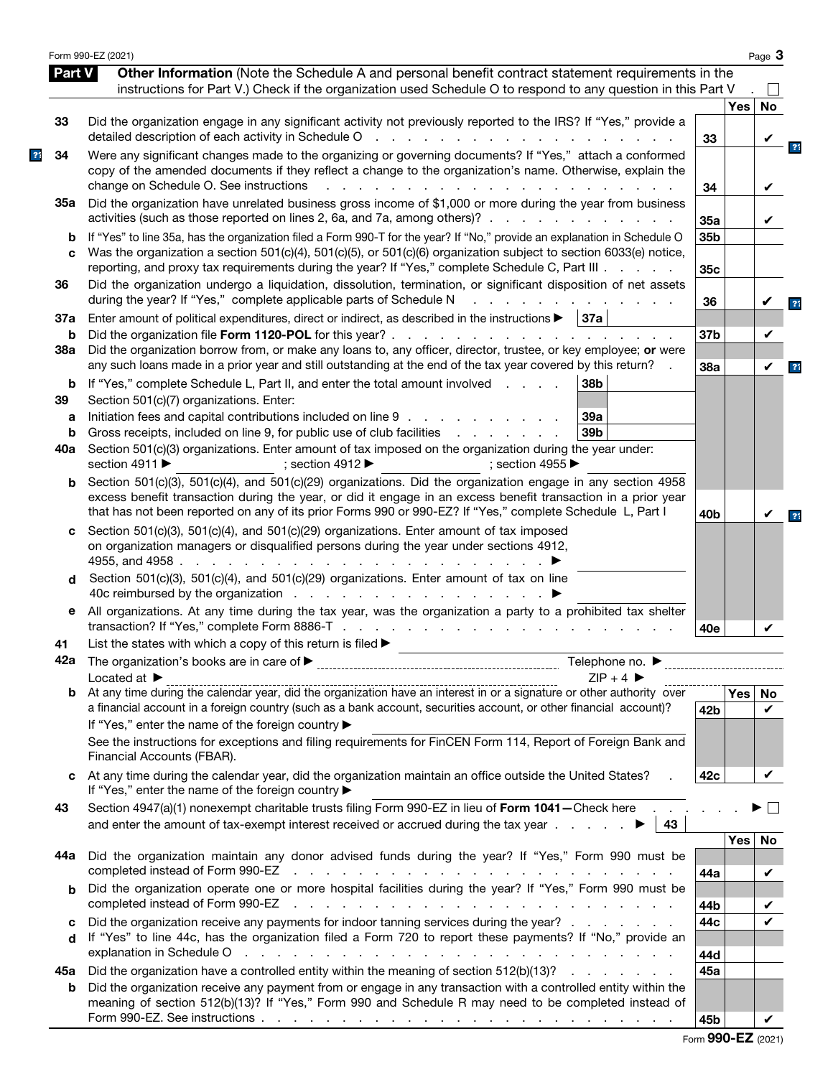|               | Form 990-EZ (2021)                                                                                                                                                                                                                                                                                                                        |                 |        | Page 3             |                |
|---------------|-------------------------------------------------------------------------------------------------------------------------------------------------------------------------------------------------------------------------------------------------------------------------------------------------------------------------------------------|-----------------|--------|--------------------|----------------|
| <b>Part V</b> | Other Information (Note the Schedule A and personal benefit contract statement requirements in the<br>instructions for Part V.) Check if the organization used Schedule O to respond to any question in this Part V                                                                                                                       |                 |        | $\mathbf{I}$       |                |
|               |                                                                                                                                                                                                                                                                                                                                           |                 | Yes    | No                 |                |
| 33            | Did the organization engage in any significant activity not previously reported to the IRS? If "Yes," provide a<br>detailed description of each activity in Schedule O<br>and the state of the state of the state of the                                                                                                                  | 33              |        |                    |                |
| 34            | Were any significant changes made to the organizing or governing documents? If "Yes," attach a conformed<br>copy of the amended documents if they reflect a change to the organization's name. Otherwise, explain the<br>change on Schedule O. See instructions<br>$\mathbf{r} = \mathbf{r} + \mathbf{r}$<br>and the company              |                 |        |                    |                |
| 35а           | Did the organization have unrelated business gross income of \$1,000 or more during the year from business                                                                                                                                                                                                                                | 34              |        | V                  |                |
| b             | activities (such as those reported on lines 2, 6a, and 7a, among others)?<br>If "Yes" to line 35a, has the organization filed a Form 990-T for the year? If "No," provide an explanation in Schedule O                                                                                                                                    | 35a<br>35b      |        |                    |                |
| C             | Was the organization a section 501(c)(4), 501(c)(5), or 501(c)(6) organization subject to section 6033(e) notice,<br>reporting, and proxy tax requirements during the year? If "Yes," complete Schedule C, Part III .                                                                                                                     | 35c             |        |                    |                |
| 36            | Did the organization undergo a liquidation, dissolution, termination, or significant disposition of net assets<br>during the year? If "Yes," complete applicable parts of Schedule N                                                                                                                                                      | 36              |        |                    |                |
| 37a<br>b      | Enter amount of political expenditures, direct or indirect, as described in the instructions $\blacktriangleright$   37a                                                                                                                                                                                                                  | 37b             |        | V                  |                |
| 38a           | Did the organization borrow from, or make any loans to, any officer, director, trustee, or key employee; or were<br>any such loans made in a prior year and still outstanding at the end of the tax year covered by this return?                                                                                                          | 38a             |        | ✔                  | 2 <sub>1</sub> |
| b<br>39       | If "Yes," complete Schedule L, Part II, and enter the total amount involved<br>38b<br>Section 501(c)(7) organizations. Enter:                                                                                                                                                                                                             |                 |        |                    |                |
| а             | Initiation fees and capital contributions included on line 9<br>39a                                                                                                                                                                                                                                                                       |                 |        |                    |                |
| b             | Gross receipts, included on line 9, for public use of club facilities<br>39 <sub>b</sub><br>and the company of the company of                                                                                                                                                                                                             |                 |        |                    |                |
| 40a           | Section 501(c)(3) organizations. Enter amount of tax imposed on the organization during the year under:<br>section 4911 ▶<br>; section 4955 $\blacktriangleright$<br>: section 4912 $\blacktriangleright$                                                                                                                                 |                 |        |                    |                |
| b             | Section 501(c)(3), 501(c)(4), and 501(c)(29) organizations. Did the organization engage in any section 4958<br>excess benefit transaction during the year, or did it engage in an excess benefit transaction in a prior year<br>that has not been reported on any of its prior Forms 990 or 990-EZ? If "Yes," complete Schedule L, Part I | 40 <sub>b</sub> |        |                    |                |
| C             | Section 501(c)(3), 501(c)(4), and 501(c)(29) organizations. Enter amount of tax imposed<br>on organization managers or disqualified persons during the year under sections 4912,<br>4955, and 4958.<br>design and the contract of the contract of the con-                                                                                |                 |        |                    |                |
| d             | Section 501(c)(3), 501(c)(4), and 501(c)(29) organizations. Enter amount of tax on line                                                                                                                                                                                                                                                   |                 |        |                    |                |
| е             | All organizations. At any time during the tax year, was the organization a party to a prohibited tax shelter                                                                                                                                                                                                                              | 40e             |        |                    |                |
| 41            | List the states with which a copy of this return is filed $\blacktriangleright$                                                                                                                                                                                                                                                           |                 |        |                    |                |
|               | Telephone no. $\blacktriangleright$<br>$ZIP + 4$<br>Located at $\blacktriangleright$                                                                                                                                                                                                                                                      |                 |        |                    |                |
|               | a financial account in a foreign country (such as a bank account, securities account, or other financial account)?                                                                                                                                                                                                                        | 42b             | Yes No | $\boldsymbol{\nu}$ |                |
|               | If "Yes," enter the name of the foreign country ▶<br>See the instructions for exceptions and filing requirements for FinCEN Form 114, Report of Foreign Bank and                                                                                                                                                                          |                 |        |                    |                |
|               | Financial Accounts (FBAR).                                                                                                                                                                                                                                                                                                                |                 |        |                    |                |
| C             | At any time during the calendar year, did the organization maintain an office outside the United States?<br>If "Yes," enter the name of the foreign country ▶                                                                                                                                                                             | 42c             |        | V                  |                |
| 43            | Section 4947(a)(1) nonexempt charitable trusts filing Form 990-EZ in lieu of Form 1041-Check here<br>43                                                                                                                                                                                                                                   |                 |        | $\mathbf{L}$       |                |
| 44a           | Did the organization maintain any donor advised funds during the year? If "Yes," Form 990 must be<br>completed instead of Form 990-EZ<br>the contract of the contract of the contract of the contract of the contract of                                                                                                                  | 44a             | Yes    | No<br>V            |                |
| b             | Did the organization operate one or more hospital facilities during the year? If "Yes," Form 990 must be<br>completed instead of Form 990-EZ<br>the contract of the contract of the contract of the contract of the contract of the contract of                                                                                           | 44b             |        |                    |                |
| C<br>d        | Did the organization receive any payments for indoor tanning services during the year?<br>If "Yes" to line 44c, has the organization filed a Form 720 to report these payments? If "No," provide an                                                                                                                                       | 44c             |        |                    |                |
|               | Did the organization have a controlled entity within the meaning of section $512(b)(13)?$                                                                                                                                                                                                                                                 | 44d<br>45a      |        |                    |                |
| 45а<br>b      | Did the organization receive any payment from or engage in any transaction with a controlled entity within the<br>meaning of section 512(b)(13)? If "Yes," Form 990 and Schedule R may need to be completed instead of                                                                                                                    |                 |        |                    |                |
|               | Form 990-EZ. See instructions $\ldots$ $\ldots$ $\ldots$ $\ldots$ $\ldots$ $\ldots$ $\ldots$ $\ldots$ $\ldots$ $\ldots$ $\ldots$ $\ldots$                                                                                                                                                                                                 | 45b             |        | V                  |                |

|  |  |  | Form 990-EZ (2021) |
|--|--|--|--------------------|
|--|--|--|--------------------|